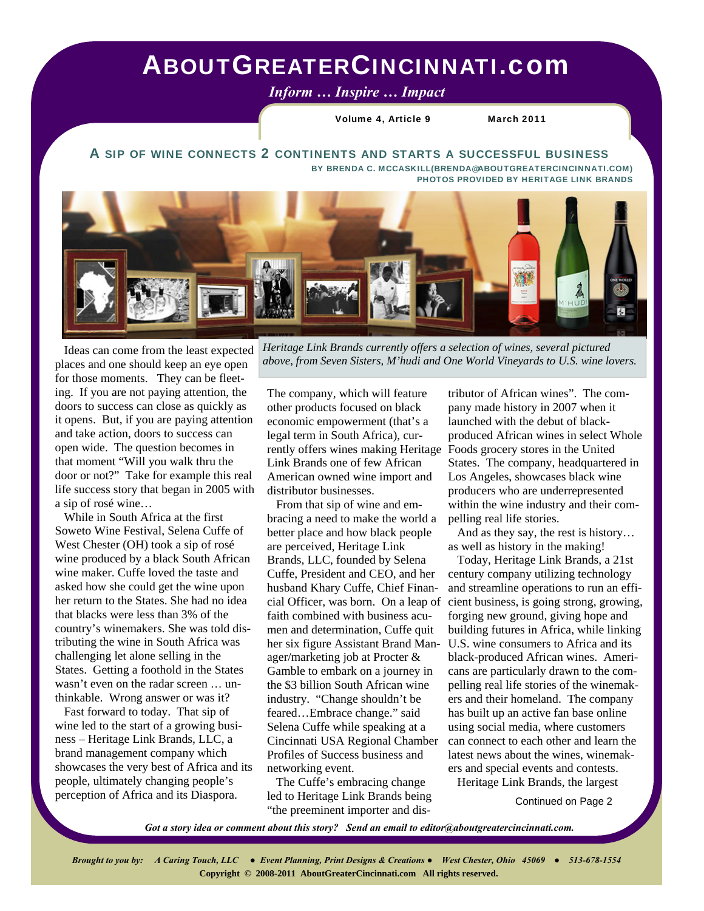## ABOUTGREATERCINCINNATI.com

*Inform … Inspire … Impact* 

Volume 4, Article 9 March 2011

A SIP OF WINE CONNECTS 2 CONTINENTS AND STARTS A SUCCESSFUL BUSINESS BY BRENDA C. MCCASKILL(BRENDA@ABOUTGREATERCINCINNATI.COM)



 Ideas can come from the least expected places and one should keep an eye open for those moments. They can be fleeting. If you are not paying attention, the doors to success can close as quickly as it opens. But, if you are paying attention and take action, doors to success can open wide. The question becomes in that moment "Will you walk thru the door or not?" Take for example this real life success story that began in 2005 with a sip of rosé wine…

 While in South Africa at the first Soweto Wine Festival, Selena Cuffe of West Chester (OH) took a sip of rosé wine produced by a black South African wine maker. Cuffe loved the taste and asked how she could get the wine upon her return to the States. She had no idea that blacks were less than 3% of the country's winemakers. She was told distributing the wine in South Africa was challenging let alone selling in the States. Getting a foothold in the States wasn't even on the radar screen … unthinkable. Wrong answer or was it?

 Fast forward to today. That sip of wine led to the start of a growing business – Heritage Link Brands, LLC, a brand management company which showcases the very best of Africa and its people, ultimately changing people's perception of Africa and its Diaspora.

*Heritage Link Brands currently offers a selection of wines, several pictured above, from Seven Sisters, M'hudi and One World Vineyards to U.S. wine lovers.* 

The company, which will feature other products focused on black economic empowerment (that's a legal term in South Africa), currently offers wines making Heritage Link Brands one of few African American owned wine import and distributor businesses.

 From that sip of wine and embracing a need to make the world a better place and how black people are perceived, Heritage Link Brands, LLC, founded by Selena Cuffe, President and CEO, and her husband Khary Cuffe, Chief Financial Officer, was born. On a leap of faith combined with business acumen and determination, Cuffe quit her six figure Assistant Brand Manager/marketing job at Procter & Gamble to embark on a journey in the \$3 billion South African wine industry. "Change shouldn't be feared…Embrace change." said Selena Cuffe while speaking at a Cincinnati USA Regional Chamber Profiles of Success business and networking event.

 The Cuffe's embracing change led to Heritage Link Brands being "the preeminent importer and dis-

tributor of African wines". The company made history in 2007 when it launched with the debut of blackproduced African wines in select Whole Foods grocery stores in the United States. The company, headquartered in Los Angeles, showcases black wine producers who are underrepresented within the wine industry and their compelling real life stories.

 And as they say, the rest is history… as well as history in the making!

 Today, Heritage Link Brands, a 21st century company utilizing technology and streamline operations to run an efficient business, is going strong, growing, forging new ground, giving hope and building futures in Africa, while linking U.S. wine consumers to Africa and its black-produced African wines. Americans are particularly drawn to the compelling real life stories of the winemakers and their homeland. The company has built up an active fan base online using social media, where customers can connect to each other and learn the latest news about the wines, winemakers and special events and contests.

Heritage Link Brands, the largest

Continued on Page 2

*Got a story idea or comment about this story? Send an email to editor@aboutgreatercincinnati.com.*

*Brought to you by: A Caring Touch, LLC ● Event Planning, Print Designs & Creations ● West Chester, Ohio 45069 ● 513-678-1554*   **Copyright © 2008-2011 AboutGreaterCincinnati.com All rights reserved.**